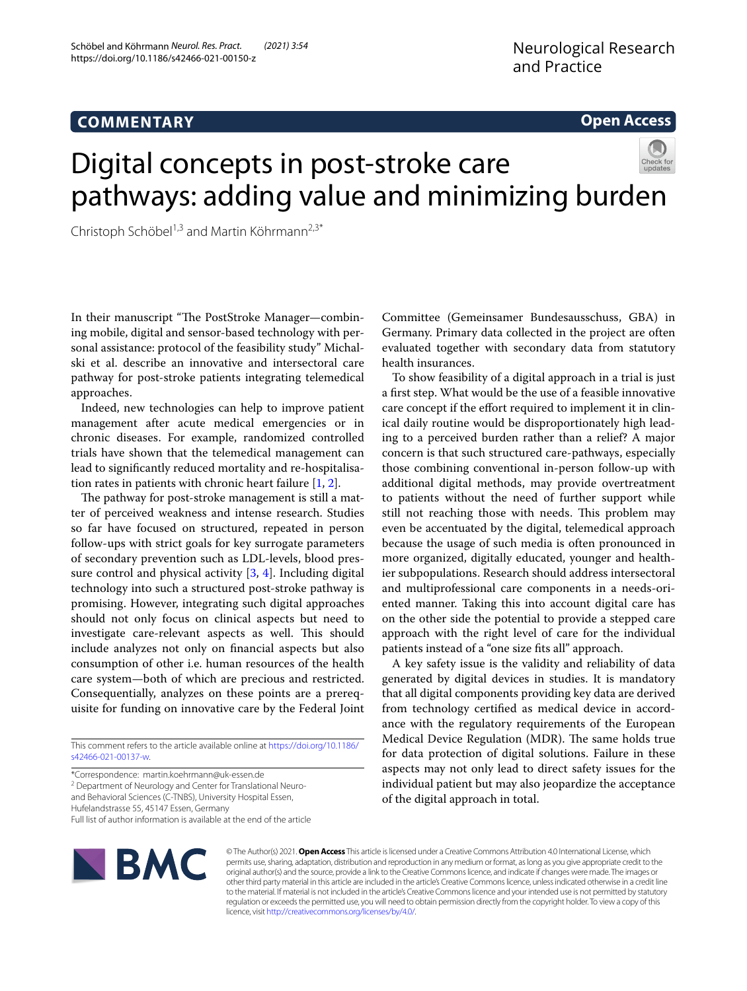# **COMMENTARY**

# **Open Access**

# Digital concepts in post-stroke care pathways: adding value and minimizing burden

Christoph Schöbel<sup>1,3</sup> and Martin Köhrmann<sup>2,3\*</sup>

In their manuscript "The PostStroke Manager—combining mobile, digital and sensor-based technology with personal assistance: protocol of the feasibility study" Michalski et al. describe an innovative and intersectoral care pathway for post-stroke patients integrating telemedical approaches.

Indeed, new technologies can help to improve patient management after acute medical emergencies or in chronic diseases. For example, randomized controlled trials have shown that the telemedical management can lead to signifcantly reduced mortality and re-hospitalisation rates in patients with chronic heart failure [\[1,](#page-1-0) [2](#page-1-1)].

The pathway for post-stroke management is still a matter of perceived weakness and intense research. Studies so far have focused on structured, repeated in person follow-ups with strict goals for key surrogate parameters of secondary prevention such as LDL-levels, blood pressure control and physical activity  $[3, 4]$  $[3, 4]$  $[3, 4]$  $[3, 4]$ . Including digital technology into such a structured post-stroke pathway is promising. However, integrating such digital approaches should not only focus on clinical aspects but need to investigate care-relevant aspects as well. This should include analyzes not only on fnancial aspects but also consumption of other i.e. human resources of the health care system—both of which are precious and restricted. Consequentially, analyzes on these points are a prerequisite for funding on innovative care by the Federal Joint

\*Correspondence: martin.koehrmann@uk-essen.de

<sup>2</sup> Department of Neurology and Center for Translational Neuroand Behavioral Sciences (C-TNBS), University Hospital Essen,

Hufelandstrasse 55, 45147 Essen, Germany

Full list of author information is available at the end of the article

**BMC** 

Committee (Gemeinsamer Bundesausschuss, GBA) in Germany. Primary data collected in the project are often evaluated together with secondary data from statutory health insurances.

To show feasibility of a digital approach in a trial is just a frst step. What would be the use of a feasible innovative care concept if the effort required to implement it in clinical daily routine would be disproportionately high leading to a perceived burden rather than a relief? A major concern is that such structured care-pathways, especially those combining conventional in-person follow-up with additional digital methods, may provide overtreatment to patients without the need of further support while still not reaching those with needs. This problem may even be accentuated by the digital, telemedical approach because the usage of such media is often pronounced in more organized, digitally educated, younger and healthier subpopulations. Research should address intersectoral and multiprofessional care components in a needs-oriented manner. Taking this into account digital care has on the other side the potential to provide a stepped care approach with the right level of care for the individual patients instead of a "one size fts all" approach.

A key safety issue is the validity and reliability of data generated by digital devices in studies. It is mandatory that all digital components providing key data are derived from technology certifed as medical device in accordance with the regulatory requirements of the European Medical Device Regulation (MDR). The same holds true for data protection of digital solutions. Failure in these aspects may not only lead to direct safety issues for the individual patient but may also jeopardize the acceptance of the digital approach in total.

© The Author(s) 2021. **Open Access** This article is licensed under a Creative Commons Attribution 4.0 International License, which permits use, sharing, adaptation, distribution and reproduction in any medium or format, as long as you give appropriate credit to the original author(s) and the source, provide a link to the Creative Commons licence, and indicate if changes were made. The images or other third party material in this article are included in the article's Creative Commons licence, unless indicated otherwise in a credit line to the material. If material is not included in the article's Creative Commons licence and your intended use is not permitted by statutory regulation or exceeds the permitted use, you will need to obtain permission directly from the copyright holder. To view a copy of this licence, visit [http://creativecommons.org/licenses/by/4.0/.](http://creativecommons.org/licenses/by/4.0/)

This comment refers to the article available online at [https://doi.org/10.1186/](https://doi.org/10.1186/s42466-021-00137-w) [s42466-021-00137-w.](https://doi.org/10.1186/s42466-021-00137-w)